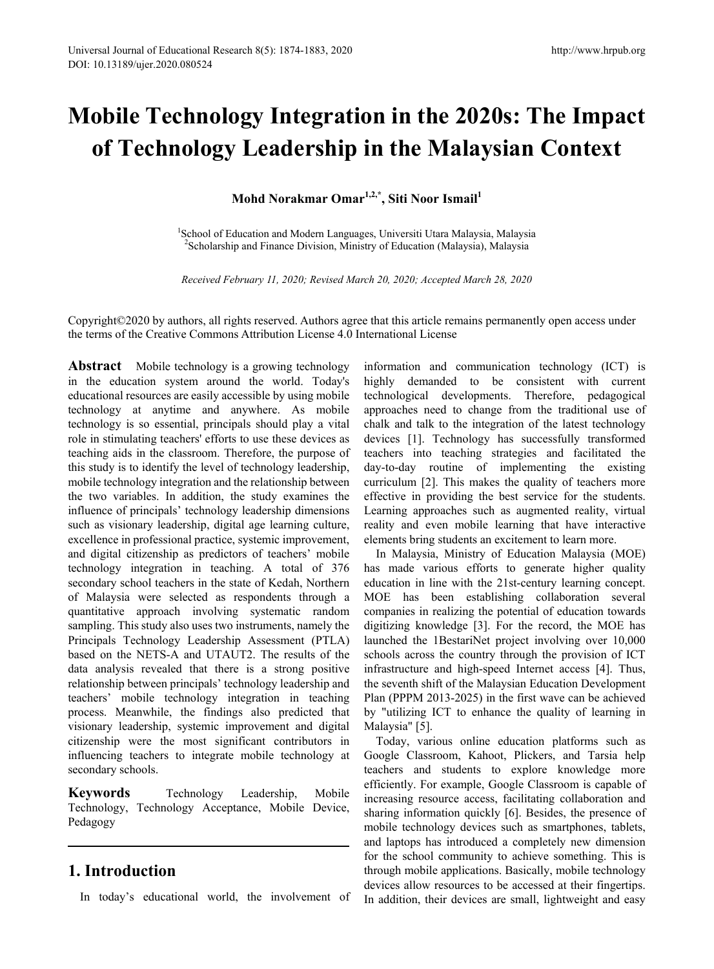# **Mobile Technology Integration in the 2020s: The Impact of Technology Leadership in the Malaysian Context**

**Mohd Norakmar Omar1,2,\*, Siti Noor Ismail1**

<sup>1</sup>School of Education and Modern Languages, Universiti Utara Malaysia, Malaysia <sup>2</sup>Scholarship and Finance Division, Ministry of Education (Malaysia), Malaysia

*Received February 11, 2020; Revised March 20, 2020; Accepted March 28, 2020*

Copyright©2020 by authors, all rights reserved. Authors agree that this article remains permanently open access under the terms of the Creative Commons Attribution License 4.0 International License

**Abstract** Mobile technology is a growing technology in the education system around the world. Today's educational resources are easily accessible by using mobile technology at anytime and anywhere. As mobile technology is so essential, principals should play a vital role in stimulating teachers' efforts to use these devices as teaching aids in the classroom. Therefore, the purpose of this study is to identify the level of technology leadership, mobile technology integration and the relationship between the two variables. In addition, the study examines the influence of principals' technology leadership dimensions such as visionary leadership, digital age learning culture, excellence in professional practice, systemic improvement, and digital citizenship as predictors of teachers' mobile technology integration in teaching. A total of 376 secondary school teachers in the state of Kedah, Northern of Malaysia were selected as respondents through a quantitative approach involving systematic random sampling. This study also uses two instruments, namely the Principals Technology Leadership Assessment (PTLA) based on the NETS-A and UTAUT2. The results of the data analysis revealed that there is a strong positive relationship between principals' technology leadership and teachers' mobile technology integration in teaching process. Meanwhile, the findings also predicted that visionary leadership, systemic improvement and digital citizenship were the most significant contributors in influencing teachers to integrate mobile technology at secondary schools.

**Keywords** Technology Leadership, Mobile Technology, Technology Acceptance, Mobile Device, Pedagogy

# **1. Introduction**

In today's educational world, the involvement of

information and communication technology (ICT) is highly demanded to be consistent with current technological developments. Therefore, pedagogical approaches need to change from the traditional use of chalk and talk to the integration of the latest technology devices [1]. Technology has successfully transformed teachers into teaching strategies and facilitated the day-to-day routine of implementing the existing curriculum [2]. This makes the quality of teachers more effective in providing the best service for the students. Learning approaches such as augmented reality, virtual reality and even mobile learning that have interactive elements bring students an excitement to learn more.

In Malaysia, Ministry of Education Malaysia (MOE) has made various efforts to generate higher quality education in line with the 21st-century learning concept. MOE has been establishing collaboration several companies in realizing the potential of education towards digitizing knowledge [3]. For the record, the MOE has launched the 1BestariNet project involving over 10,000 schools across the country through the provision of ICT infrastructure and high-speed Internet access [4]. Thus, the seventh shift of the Malaysian Education Development Plan (PPPM 2013-2025) in the first wave can be achieved by "utilizing ICT to enhance the quality of learning in Malaysia" [5].

Today, various online education platforms such as Google Classroom, Kahoot, Plickers, and Tarsia help teachers and students to explore knowledge more efficiently. For example, Google Classroom is capable of increasing resource access, facilitating collaboration and sharing information quickly [6]. Besides, the presence of mobile technology devices such as smartphones, tablets, and laptops has introduced a completely new dimension for the school community to achieve something. This is through mobile applications. Basically, mobile technology devices allow resources to be accessed at their fingertips. In addition, their devices are small, lightweight and easy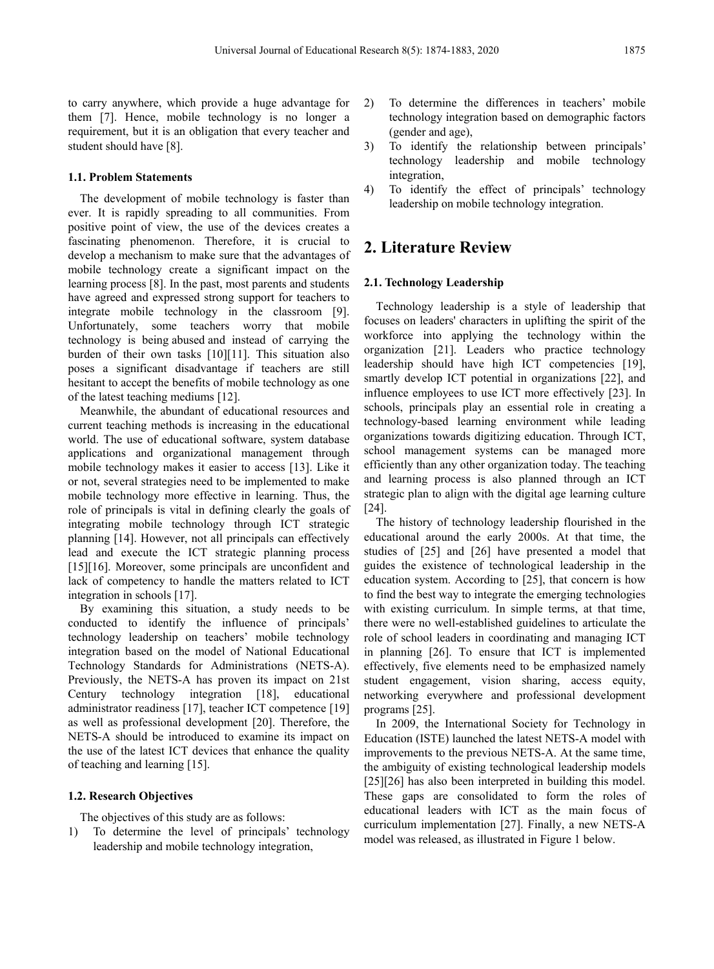to carry anywhere, which provide a huge advantage for them [7]. Hence, mobile technology is no longer a requirement, but it is an obligation that every teacher and student should have [8].

#### **1.1. Problem Statements**

The development of mobile technology is faster than ever. It is rapidly spreading to all communities. From positive point of view, the use of the devices creates a fascinating phenomenon. Therefore, it is crucial to develop a mechanism to make sure that the advantages of mobile technology create a significant impact on the learning process [8]. In the past, most parents and students have agreed and expressed strong support for teachers to integrate mobile technology in the classroom [9]. Unfortunately, some teachers worry that mobile technology is being abused and instead of carrying the burden of their own tasks [10][11]. This situation also poses a significant disadvantage if teachers are still hesitant to accept the benefits of mobile technology as one of the latest teaching mediums [12].

Meanwhile, the abundant of educational resources and current teaching methods is increasing in the educational world. The use of educational software, system database applications and organizational management through mobile technology makes it easier to access [13]. Like it or not, several strategies need to be implemented to make mobile technology more effective in learning. Thus, the role of principals is vital in defining clearly the goals of integrating mobile technology through ICT strategic planning [14]. However, not all principals can effectively lead and execute the ICT strategic planning process [15][16]. Moreover, some principals are unconfident and lack of competency to handle the matters related to ICT integration in schools [17].

By examining this situation, a study needs to be conducted to identify the influence of principals' technology leadership on teachers' mobile technology integration based on the model of National Educational Technology Standards for Administrations (NETS-A). Previously, the NETS-A has proven its impact on 21st Century technology integration [18], educational administrator readiness [17], teacher ICT competence [19] as well as professional development [20]. Therefore, the NETS-A should be introduced to examine its impact on the use of the latest ICT devices that enhance the quality of teaching and learning [15].

## **1.2. Research Objectives**

The objectives of this study are as follows:

1) To determine the level of principals' technology leadership and mobile technology integration,

- 2) To determine the differences in teachers' mobile technology integration based on demographic factors (gender and age),
- 3) To identify the relationship between principals' technology leadership and mobile technology integration,
- 4) To identify the effect of principals' technology leadership on mobile technology integration.

# **2. Literature Review**

#### **2.1. Technology Leadership**

Technology leadership is a style of leadership that focuses on leaders' characters in uplifting the spirit of the workforce into applying the technology within the organization [21]. Leaders who practice technology leadership should have high ICT competencies [19], smartly develop ICT potential in organizations [22], and influence employees to use ICT more effectively [23]. In schools, principals play an essential role in creating a technology-based learning environment while leading organizations towards digitizing education. Through ICT, school management systems can be managed more efficiently than any other organization today. The teaching and learning process is also planned through an ICT strategic plan to align with the digital age learning culture [24].

The history of technology leadership flourished in the educational around the early 2000s. At that time, the studies of [25] and [26] have presented a model that guides the existence of technological leadership in the education system. According to [25], that concern is how to find the best way to integrate the emerging technologies with existing curriculum. In simple terms, at that time, there were no well-established guidelines to articulate the role of school leaders in coordinating and managing ICT in planning [26]. To ensure that ICT is implemented effectively, five elements need to be emphasized namely student engagement, vision sharing, access equity, networking everywhere and professional development programs [25].

In 2009, the International Society for Technology in Education (ISTE) launched the latest NETS-A model with improvements to the previous NETS-A. At the same time, the ambiguity of existing technological leadership models [25][26] has also been interpreted in building this model. These gaps are consolidated to form the roles of educational leaders with ICT as the main focus of curriculum implementation [27]. Finally, a new NETS-A model was released, as illustrated in Figure 1 below.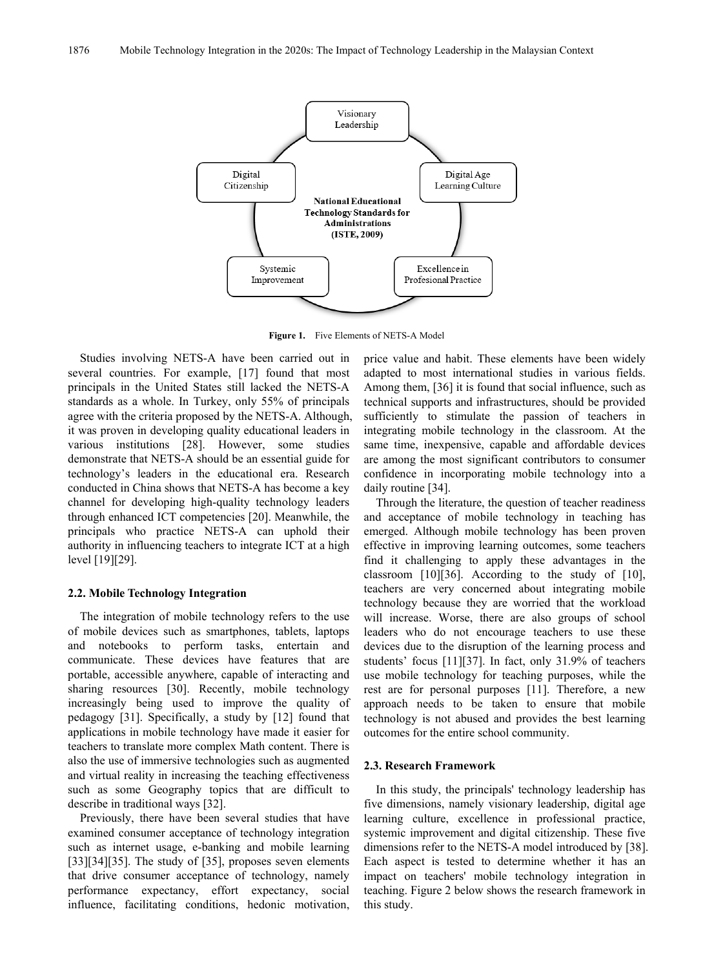

**Figure 1.** Five Elements of NETS-A Model

Studies involving NETS-A have been carried out in several countries. For example, [17] found that most principals in the United States still lacked the NETS-A standards as a whole. In Turkey, only 55% of principals agree with the criteria proposed by the NETS-A. Although, it was proven in developing quality educational leaders in various institutions [28]. However, some studies demonstrate that NETS-A should be an essential guide for technology's leaders in the educational era. Research conducted in China shows that NETS-A has become a key channel for developing high-quality technology leaders through enhanced ICT competencies [20]. Meanwhile, the principals who practice NETS-A can uphold their authority in influencing teachers to integrate ICT at a high level [19][29].

#### **2.2. Mobile Technology Integration**

The integration of mobile technology refers to the use of mobile devices such as smartphones, tablets, laptops and notebooks to perform tasks, entertain and communicate. These devices have features that are portable, accessible anywhere, capable of interacting and sharing resources [30]. Recently, mobile technology increasingly being used to improve the quality of pedagogy [31]. Specifically, a study by [12] found that applications in mobile technology have made it easier for teachers to translate more complex Math content. There is also the use of immersive technologies such as augmented and virtual reality in increasing the teaching effectiveness such as some Geography topics that are difficult to describe in traditional ways [32].

Previously, there have been several studies that have examined consumer acceptance of technology integration such as internet usage, e-banking and mobile learning [33][34][35]. The study of [35], proposes seven elements that drive consumer acceptance of technology, namely performance expectancy, effort expectancy, social influence, facilitating conditions, hedonic motivation,

price value and habit. These elements have been widely adapted to most international studies in various fields. Among them, [36] it is found that social influence, such as technical supports and infrastructures, should be provided sufficiently to stimulate the passion of teachers in integrating mobile technology in the classroom. At the same time, inexpensive, capable and affordable devices are among the most significant contributors to consumer confidence in incorporating mobile technology into a daily routine [34].

Through the literature, the question of teacher readiness and acceptance of mobile technology in teaching has emerged. Although mobile technology has been proven effective in improving learning outcomes, some teachers find it challenging to apply these advantages in the classroom [10][36]. According to the study of [10], teachers are very concerned about integrating mobile technology because they are worried that the workload will increase. Worse, there are also groups of school leaders who do not encourage teachers to use these devices due to the disruption of the learning process and students' focus [11][37]. In fact, only 31.9% of teachers use mobile technology for teaching purposes, while the rest are for personal purposes [11]. Therefore, a new approach needs to be taken to ensure that mobile technology is not abused and provides the best learning outcomes for the entire school community.

## **2.3. Research Framework**

In this study, the principals' technology leadership has five dimensions, namely visionary leadership, digital age learning culture, excellence in professional practice, systemic improvement and digital citizenship. These five dimensions refer to the NETS-A model introduced by [38]. Each aspect is tested to determine whether it has an impact on teachers' mobile technology integration in teaching. Figure 2 below shows the research framework in this study.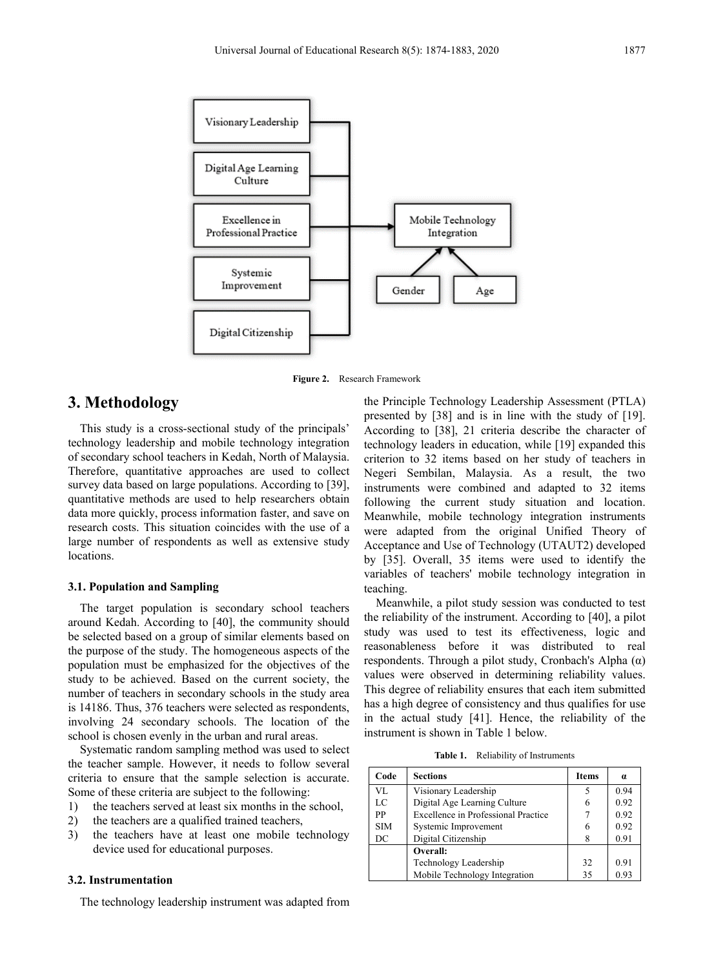

**Figure 2.** Research Framework

# **3. Methodology**

This study is a cross-sectional study of the principals' technology leadership and mobile technology integration of secondary school teachers in Kedah, North of Malaysia. Therefore, quantitative approaches are used to collect survey data based on large populations. According to [39], quantitative methods are used to help researchers obtain data more quickly, process information faster, and save on research costs. This situation coincides with the use of a large number of respondents as well as extensive study locations.

## **3.1. Population and Sampling**

The target population is secondary school teachers around Kedah. According to [40], the community should be selected based on a group of similar elements based on the purpose of the study. The homogeneous aspects of the population must be emphasized for the objectives of the study to be achieved. Based on the current society, the number of teachers in secondary schools in the study area is 14186. Thus, 376 teachers were selected as respondents, involving 24 secondary schools. The location of the school is chosen evenly in the urban and rural areas.

Systematic random sampling method was used to select the teacher sample. However, it needs to follow several criteria to ensure that the sample selection is accurate. Some of these criteria are subject to the following:

- 1) the teachers served at least six months in the school,
- 2) the teachers are a qualified trained teachers,
- 3) the teachers have at least one mobile technology device used for educational purposes.

## **3.2. Instrumentation**

The technology leadership instrument was adapted from

the Principle Technology Leadership Assessment (PTLA) presented by [38] and is in line with the study of [19]. According to [38], 21 criteria describe the character of technology leaders in education, while [19] expanded this criterion to 32 items based on her study of teachers in Negeri Sembilan, Malaysia. As a result, the two instruments were combined and adapted to 32 items following the current study situation and location. Meanwhile, mobile technology integration instruments were adapted from the original Unified Theory of Acceptance and Use of Technology (UTAUT2) developed by [35]. Overall, 35 items were used to identify the variables of teachers' mobile technology integration in teaching.

Meanwhile, a pilot study session was conducted to test the reliability of the instrument. According to [40], a pilot study was used to test its effectiveness, logic and reasonableness before it was distributed to real respondents. Through a pilot study, Cronbach's Alpha (α) values were observed in determining reliability values. This degree of reliability ensures that each item submitted has a high degree of consistency and thus qualifies for use in the actual study [41]. Hence, the reliability of the instrument is shown in Table 1 below.

**Table 1.** Reliability of Instruments

| Code       | <b>Sections</b>                     | <b>Items</b> | $\boldsymbol{a}$ |
|------------|-------------------------------------|--------------|------------------|
| VL.        | Visionary Leadership                | 5            | 0.94             |
| LC         | Digital Age Learning Culture        | 6            | 0.92             |
| PP         | Excellence in Professional Practice | 7            | 0.92             |
| <b>SIM</b> | Systemic Improvement                | 6            | 0.92             |
| DC         | Digital Citizenship                 | 8            | 0.91             |
|            | Overall:                            |              |                  |
|            | Technology Leadership               | 32           | 0.91             |
|            | Mobile Technology Integration       | 35           | 0.93             |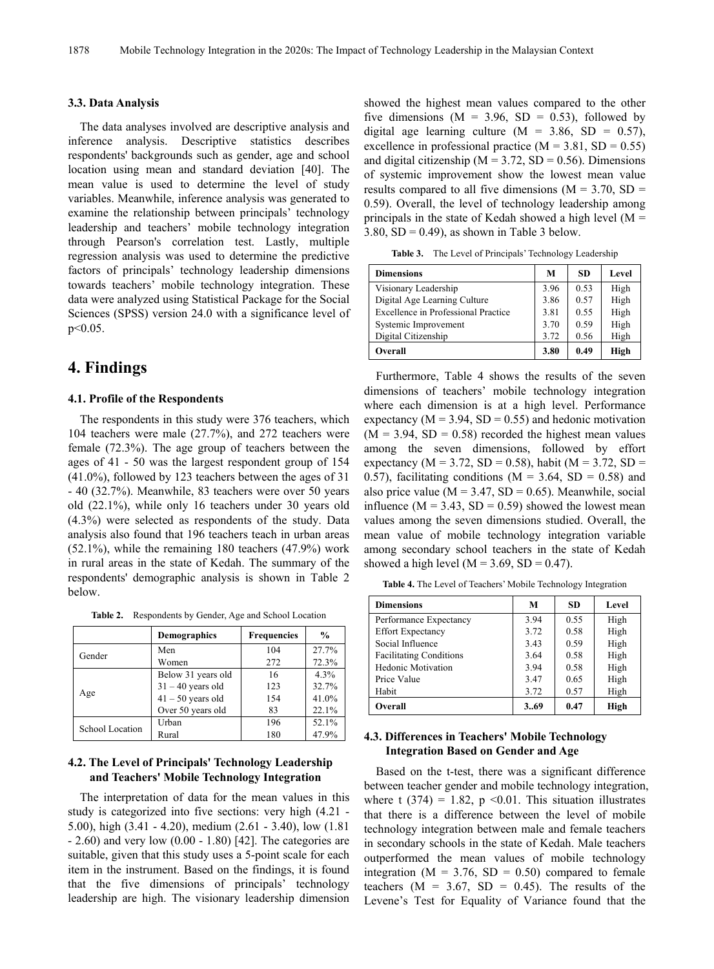## **3.3. Data Analysis**

The data analyses involved are descriptive analysis and inference analysis. Descriptive statistics describes respondents' backgrounds such as gender, age and school location using mean and standard deviation [40]. The mean value is used to determine the level of study variables. Meanwhile, inference analysis was generated to examine the relationship between principals' technology leadership and teachers' mobile technology integration through Pearson's correlation test. Lastly, multiple regression analysis was used to determine the predictive factors of principals' technology leadership dimensions towards teachers' mobile technology integration. These data were analyzed using Statistical Package for the Social Sciences (SPSS) version 24.0 with a significance level of p<0.05.

## **4. Findings**

#### **4.1. Profile of the Respondents**

The respondents in this study were 376 teachers, which 104 teachers were male (27.7%), and 272 teachers were female (72.3%). The age group of teachers between the ages of 41 - 50 was the largest respondent group of 154 (41.0%), followed by 123 teachers between the ages of 31 - 40 (32.7%). Meanwhile, 83 teachers were over 50 years old (22.1%), while only 16 teachers under 30 years old (4.3%) were selected as respondents of the study. Data analysis also found that 196 teachers teach in urban areas (52.1%), while the remaining 180 teachers (47.9%) work in rural areas in the state of Kedah. The summary of the respondents' demographic analysis is shown in Table 2 below.

**Table 2.** Respondents by Gender, Age and School Location

|                 | <b>Demographics</b> | <b>Frequencies</b> | $\frac{0}{0}$ |
|-----------------|---------------------|--------------------|---------------|
|                 | Men                 | 104                | 27.7%         |
| Gender          | Women               | 272                | 72.3%         |
|                 | Below 31 years old  | 16                 | 4.3%          |
|                 | $31 - 40$ years old | 123                | 32.7%         |
| Age             | $41 - 50$ years old | 154                | 41.0%         |
|                 | Over 50 years old   | 83                 | 22.1%         |
| School Location | Urban               | 196                | 52.1%         |
|                 | Rural               | 180                | 47.9%         |

## **4.2. The Level of Principals' Technology Leadership and Teachers' Mobile Technology Integration**

The interpretation of data for the mean values in this study is categorized into five sections: very high (4.21 - 5.00), high (3.41 - 4.20), medium (2.61 - 3.40), low (1.81 - 2.60) and very low (0.00 - 1.80) [42]. The categories are suitable, given that this study uses a 5-point scale for each item in the instrument. Based on the findings, it is found that the five dimensions of principals' technology leadership are high. The visionary leadership dimension

showed the highest mean values compared to the other five dimensions ( $M = 3.96$ ,  $SD = 0.53$ ), followed by digital age learning culture  $(M = 3.86, SD = 0.57)$ , excellence in professional practice ( $M = 3.81$ , SD = 0.55) and digital citizenship ( $M = 3.72$ ,  $SD = 0.56$ ). Dimensions of systemic improvement show the lowest mean value results compared to all five dimensions ( $M = 3.70$ ,  $SD =$ 0.59). Overall, the level of technology leadership among principals in the state of Kedah showed a high level  $(M =$ 3.80,  $SD = 0.49$ ), as shown in Table 3 below.

**Table 3.** The Level of Principals' Technology Leadership

| <b>Dimensions</b>                   | M    | <b>SD</b> | Level |
|-------------------------------------|------|-----------|-------|
| Visionary Leadership                | 3.96 | 0.53      | High  |
| Digital Age Learning Culture        | 3.86 | 0.57      | High  |
| Excellence in Professional Practice | 3.81 | 0.55      | High  |
| Systemic Improvement                | 3.70 | 0.59      | High  |
| Digital Citizenship                 | 3.72 | 0.56      | High  |
| <b>Overall</b>                      | 3.80 | 0.49      | High  |

Furthermore, Table 4 shows the results of the seven dimensions of teachers' mobile technology integration where each dimension is at a high level. Performance expectancy ( $M = 3.94$ ,  $SD = 0.55$ ) and hedonic motivation  $(M = 3.94, SD = 0.58)$  recorded the highest mean values among the seven dimensions, followed by effort expectancy ( $M = 3.72$ ,  $SD = 0.58$ ), habit ( $M = 3.72$ ,  $SD =$ 0.57), facilitating conditions ( $M = 3.64$ , SD = 0.58) and also price value ( $M = 3.47$ ,  $SD = 0.65$ ). Meanwhile, social influence ( $M = 3.43$ ,  $SD = 0.59$ ) showed the lowest mean values among the seven dimensions studied. Overall, the mean value of mobile technology integration variable among secondary school teachers in the state of Kedah showed a high level ( $M = 3.69$ , SD = 0.47).

**Table 4.** The Level of Teachers' Mobile Technology Integration

| <b>Dimensions</b>              | M    | SD.  | Level |
|--------------------------------|------|------|-------|
| Performance Expectancy         | 3.94 | 0.55 | High  |
| <b>Effort Expectancy</b>       | 3.72 | 0.58 | High  |
| Social Influence               | 3.43 | 0.59 | High  |
| <b>Facilitating Conditions</b> | 3.64 | 0.58 | High  |
| <b>Hedonic Motivation</b>      | 3.94 | 0.58 | High  |
| Price Value                    | 3.47 | 0.65 | High  |
| Habit                          | 3.72 | 0.57 | High  |
| <b>Overall</b>                 | 369  | 0.47 | High  |

## **4.3. Differences in Teachers' Mobile Technology Integration Based on Gender and Age**

Based on the t-test, there was a significant difference between teacher gender and mobile technology integration, where t (374) = 1.82, p < 0.01. This situation illustrates that there is a difference between the level of mobile technology integration between male and female teachers in secondary schools in the state of Kedah. Male teachers outperformed the mean values of mobile technology integration ( $M = 3.76$ ,  $SD = 0.50$ ) compared to female teachers  $(M = 3.67, SD = 0.45)$ . The results of the Levene's Test for Equality of Variance found that the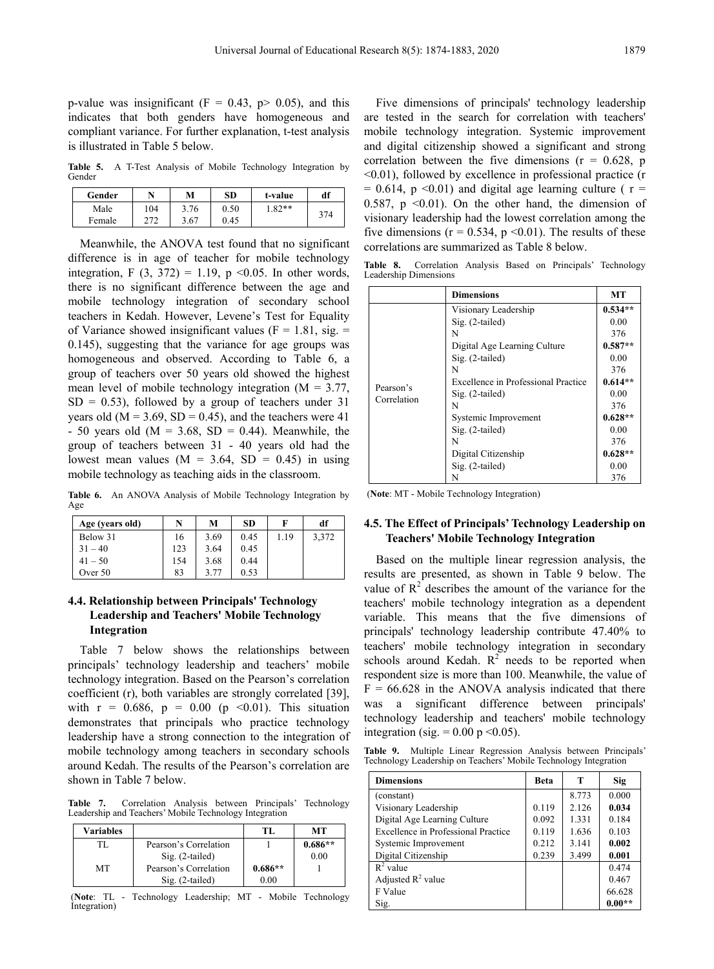p-value was insignificant ( $F = 0.43$ ,  $p > 0.05$ ), and this indicates that both genders have homogeneous and compliant variance. For further explanation, t-test analysis is illustrated in Table 5 below.

**Table 5.** A T-Test Analysis of Mobile Technology Integration by Gender

| Gender |     | М    | SD   | t-value | df  |
|--------|-----|------|------|---------|-----|
| Male   | 104 | 3.76 | 0.50 | $.82**$ |     |
| Female | 272 | 3.67 | 0.45 |         | 374 |

Meanwhile, the ANOVA test found that no significant difference is in age of teacher for mobile technology integration, F  $(3, 372) = 1.19$ , p <0.05. In other words, there is no significant difference between the age and mobile technology integration of secondary school teachers in Kedah. However, Levene's Test for Equality of Variance showed insignificant values ( $F = 1.81$ , sig. = 0.145), suggesting that the variance for age groups was homogeneous and observed. According to Table 6, a group of teachers over 50 years old showed the highest mean level of mobile technology integration ( $M = 3.77$ ,  $SD = 0.53$ ), followed by a group of teachers under 31 years old ( $M = 3.69$ ,  $SD = 0.45$ ), and the teachers were 41  $-50$  years old (M = 3.68, SD = 0.44). Meanwhile, the group of teachers between 31 - 40 years old had the lowest mean values ( $M = 3.64$ ,  $SD = 0.45$ ) in using mobile technology as teaching aids in the classroom.

**Table 6.** An ANOVA Analysis of Mobile Technology Integration by Age

| Age (years old) | N   | M    | <b>SD</b> | F    | df    |
|-----------------|-----|------|-----------|------|-------|
| Below 31        | 16  | 3.69 | 0.45      | 1.19 | 3,372 |
| $31 - 40$       | 123 | 3.64 | 0.45      |      |       |
| $41 - 50$       | 154 | 3.68 | 0.44      |      |       |
| Over 50         | 83  |      | 0.53      |      |       |

## **4.4. Relationship between Principals' Technology Leadership and Teachers' Mobile Technology Integration**

Table 7 below shows the relationships between principals' technology leadership and teachers' mobile technology integration. Based on the Pearson's correlation coefficient (r), both variables are strongly correlated [39], with  $r = 0.686$ ,  $p = 0.00$  ( $p \le 0.01$ ). This situation demonstrates that principals who practice technology leadership have a strong connection to the integration of mobile technology among teachers in secondary schools around Kedah. The results of the Pearson's correlation are shown in Table 7 below.

**Table 7.** Correlation Analysis between Principals' Technology Leadership and Teachers' Mobile Technology Integration

| <b>Variables</b> |                       | TL.       | MТ        |
|------------------|-----------------------|-----------|-----------|
| TI.              | Pearson's Correlation |           | $0.686**$ |
|                  | $Sig. (2-tailed)$     |           | 0.00      |
| MТ               | Pearson's Correlation | $0.686**$ |           |
|                  | $Sig. (2-tailed)$     | 0.00      |           |

(**Note**: TL - Technology Leadership; MT - Mobile Technology Integration)

Five dimensions of principals' technology leadership are tested in the search for correlation with teachers' mobile technology integration. Systemic improvement and digital citizenship showed a significant and strong correlation between the five dimensions  $(r = 0.628, p$ <0.01), followed by excellence in professional practice (r  $= 0.614$ , p <0.01) and digital age learning culture ( $r =$ 0.587,  $p \le 0.01$ ). On the other hand, the dimension of visionary leadership had the lowest correlation among the five dimensions ( $r = 0.534$ ,  $p \le 0.01$ ). The results of these correlations are summarized as Table 8 below.

**Table 8.** Correlation Analysis Based on Principals' Technology Leadership Dimensions

|             | <b>Dimensions</b>                   | MT        |
|-------------|-------------------------------------|-----------|
|             | Visionary Leadership                | $0.534**$ |
|             | Sig. (2-tailed)                     | 0.00      |
|             | N                                   | 376       |
|             | Digital Age Learning Culture        | $0.587**$ |
|             | Sig. (2-tailed)                     | 0.00      |
|             | N                                   | 376       |
| Pearson's   | Excellence in Professional Practice | $0.614**$ |
| Correlation | $Sig. (2-tailed)$                   | 0.00      |
|             | N                                   | 376       |
|             | Systemic Improvement                | $0.628**$ |
|             | $Sig. (2-tailed)$                   | 0.00      |
|             | N                                   | 376       |
|             | Digital Citizenship                 | $0.628**$ |
|             | Sig. (2-tailed)                     | 0.00      |
|             | N                                   | 376       |

(**Note**: MT - Mobile Technology Integration)

## **4.5. The Effect of Principals' Technology Leadership on Teachers' Mobile Technology Integration**

Based on the multiple linear regression analysis, the results are presented, as shown in Table 9 below. The value of  $\mathbb{R}^2$  describes the amount of the variance for the teachers' mobile technology integration as a dependent variable. This means that the five dimensions of principals' technology leadership contribute 47.40% to teachers' mobile technology integration in secondary schools around Kedah.  $R^2$  needs to be reported when respondent size is more than 100. Meanwhile, the value of  $F = 66.628$  in the ANOVA analysis indicated that there was a significant difference between principals' technology leadership and teachers' mobile technology integration (sig.  $= 0.00$  p < 0.05).

**Table 9.** Multiple Linear Regression Analysis between Principals' Technology Leadership on Teachers' Mobile Technology Integration

| <b>Dimensions</b>                   | <b>Beta</b> | т     | Sig      |
|-------------------------------------|-------------|-------|----------|
| (constant)                          |             | 8.773 | 0.000    |
| Visionary Leadership                | 0.119       | 2.126 | 0.034    |
| Digital Age Learning Culture        | 0.092       | 1.331 | 0.184    |
| Excellence in Professional Practice | 0.119       | 1.636 | 0.103    |
| Systemic Improvement                | 0.212       | 3.141 | 0.002    |
| Digital Citizenship                 | 0.239       | 3.499 | 0.001    |
| $R^2$ value                         |             |       | 0.474    |
| Adjusted $R^2$ value                |             |       | 0.467    |
| F Value                             |             |       | 66.628   |
| Sig.                                |             |       | $0.00**$ |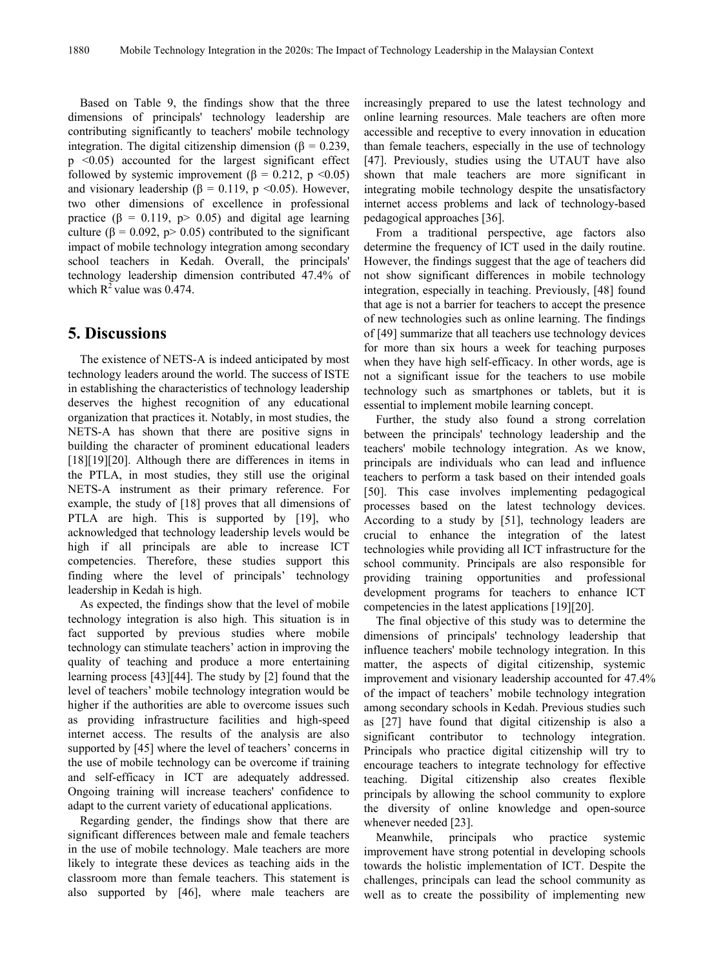Based on Table 9, the findings show that the three dimensions of principals' technology leadership are contributing significantly to teachers' mobile technology integration. The digital citizenship dimension (β =  $0.239$ ,  $p \leq 0.05$ ) accounted for the largest significant effect followed by systemic improvement ( $\beta = 0.212$ , p <0.05) and visionary leadership ( $\beta = 0.119$ , p <0.05). However, two other dimensions of excellence in professional practice ( $\beta$  = 0.119, p > 0.05) and digital age learning culture ( $\beta$  = 0.092, p> 0.05) contributed to the significant impact of mobile technology integration among secondary school teachers in Kedah. Overall, the principals' technology leadership dimension contributed 47.4% of which  $R^2$  value was 0.474.

# **5. Discussions**

The existence of NETS-A is indeed anticipated by most technology leaders around the world. The success of ISTE in establishing the characteristics of technology leadership deserves the highest recognition of any educational organization that practices it. Notably, in most studies, the NETS-A has shown that there are positive signs in building the character of prominent educational leaders [18][19][20]. Although there are differences in items in the PTLA, in most studies, they still use the original NETS-A instrument as their primary reference. For example, the study of [18] proves that all dimensions of PTLA are high. This is supported by [19], who acknowledged that technology leadership levels would be high if all principals are able to increase ICT competencies. Therefore, these studies support this finding where the level of principals' technology leadership in Kedah is high.

As expected, the findings show that the level of mobile technology integration is also high. This situation is in fact supported by previous studies where mobile technology can stimulate teachers' action in improving the quality of teaching and produce a more entertaining learning process [43][44]. The study by [2] found that the level of teachers' mobile technology integration would be higher if the authorities are able to overcome issues such as providing infrastructure facilities and high-speed internet access. The results of the analysis are also supported by [45] where the level of teachers' concerns in the use of mobile technology can be overcome if training and self-efficacy in ICT are adequately addressed. Ongoing training will increase teachers' confidence to adapt to the current variety of educational applications.

Regarding gender, the findings show that there are significant differences between male and female teachers in the use of mobile technology. Male teachers are more likely to integrate these devices as teaching aids in the classroom more than female teachers. This statement is also supported by [46], where male teachers are

increasingly prepared to use the latest technology and online learning resources. Male teachers are often more accessible and receptive to every innovation in education than female teachers, especially in the use of technology [47]. Previously, studies using the UTAUT have also shown that male teachers are more significant in integrating mobile technology despite the unsatisfactory internet access problems and lack of technology-based pedagogical approaches [36].

From a traditional perspective, age factors also determine the frequency of ICT used in the daily routine. However, the findings suggest that the age of teachers did not show significant differences in mobile technology integration, especially in teaching. Previously, [48] found that age is not a barrier for teachers to accept the presence of new technologies such as online learning. The findings of [49] summarize that all teachers use technology devices for more than six hours a week for teaching purposes when they have high self-efficacy. In other words, age is not a significant issue for the teachers to use mobile technology such as smartphones or tablets, but it is essential to implement mobile learning concept.

Further, the study also found a strong correlation between the principals' technology leadership and the teachers' mobile technology integration. As we know, principals are individuals who can lead and influence teachers to perform a task based on their intended goals [50]. This case involves implementing pedagogical processes based on the latest technology devices. According to a study by [51], technology leaders are crucial to enhance the integration of the latest technologies while providing all ICT infrastructure for the school community. Principals are also responsible for providing training opportunities and professional development programs for teachers to enhance ICT competencies in the latest applications [19][20].

The final objective of this study was to determine the dimensions of principals' technology leadership that influence teachers' mobile technology integration. In this matter, the aspects of digital citizenship, systemic improvement and visionary leadership accounted for 47.4% of the impact of teachers' mobile technology integration among secondary schools in Kedah. Previous studies such as [27] have found that digital citizenship is also a significant contributor to technology integration. Principals who practice digital citizenship will try to encourage teachers to integrate technology for effective teaching. Digital citizenship also creates flexible principals by allowing the school community to explore the diversity of online knowledge and open-source whenever needed [23].

Meanwhile, principals who practice systemic improvement have strong potential in developing schools towards the holistic implementation of ICT. Despite the challenges, principals can lead the school community as well as to create the possibility of implementing new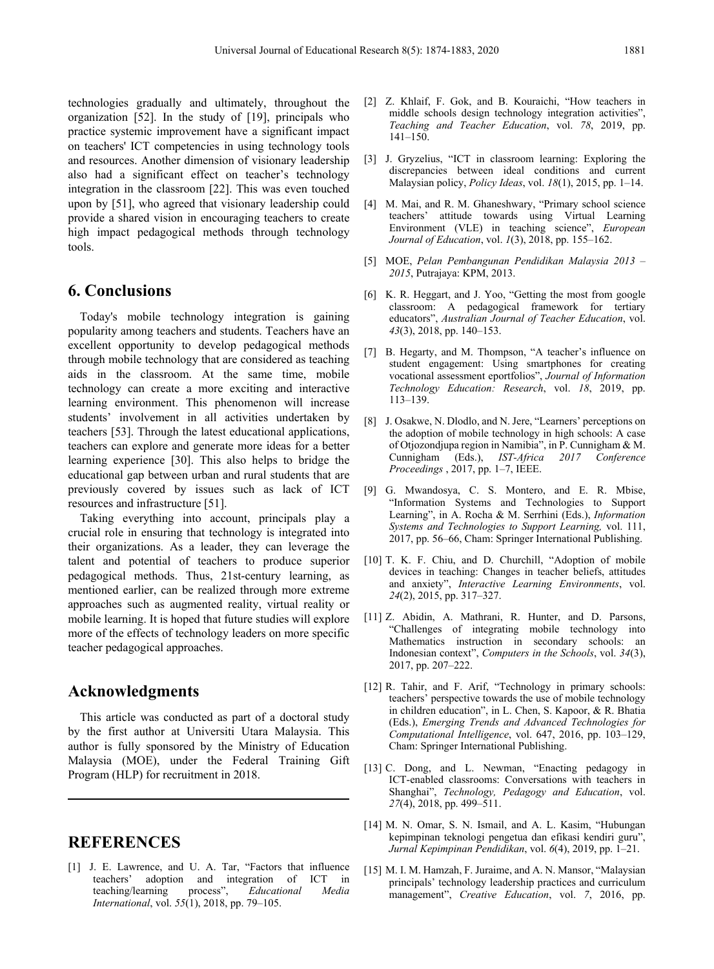technologies gradually and ultimately, throughout the organization [52]. In the study of [19], principals who practice systemic improvement have a significant impact on teachers' ICT competencies in using technology tools and resources. Another dimension of visionary leadership also had a significant effect on teacher's technology integration in the classroom [22]. This was even touched upon by [51], who agreed that visionary leadership could provide a shared vision in encouraging teachers to create high impact pedagogical methods through technology tools.

## **6. Conclusions**

Today's mobile technology integration is gaining popularity among teachers and students. Teachers have an excellent opportunity to develop pedagogical methods through mobile technology that are considered as teaching aids in the classroom. At the same time, mobile technology can create a more exciting and interactive learning environment. This phenomenon will increase students' involvement in all activities undertaken by teachers [53]. Through the latest educational applications, teachers can explore and generate more ideas for a better learning experience [30]. This also helps to bridge the educational gap between urban and rural students that are previously covered by issues such as lack of ICT resources and infrastructure [51].

Taking everything into account, principals play a crucial role in ensuring that technology is integrated into their organizations. As a leader, they can leverage the talent and potential of teachers to produce superior pedagogical methods. Thus, 21st-century learning, as mentioned earlier, can be realized through more extreme approaches such as augmented reality, virtual reality or mobile learning. It is hoped that future studies will explore more of the effects of technology leaders on more specific teacher pedagogical approaches.

## **Acknowledgments**

This article was conducted as part of a doctoral study by the first author at Universiti Utara Malaysia. This author is fully sponsored by the Ministry of Education Malaysia (MOE), under the Federal Training Gift Program (HLP) for recruitment in 2018.

# **REFERENCES**

[1] J. E. Lawrence, and U. A. Tar, "Factors that influence teachers' adoption and integration of ICT in teaching/learning process", *Educational Media International*, vol. *55*(1), 2018, pp. 79–105.

- [2] Z. Khlaif, F. Gok, and B. Kouraichi, "How teachers in middle schools design technology integration activities", *Teaching and Teacher Education*, vol. *78*, 2019, pp. 141–150.
- [3] J. Gryzelius, "ICT in classroom learning: Exploring the discrepancies between ideal conditions and current Malaysian policy, *Policy Ideas*, vol. *18*(1), 2015, pp. 1–14.
- [4] M. Mai, and R. M. Ghaneshwary, "Primary school science teachers' attitude towards using Virtual Learning Environment (VLE) in teaching science", *European Journal of Education*, vol. *1*(3), 2018, pp. 155–162.
- [5] MOE, *Pelan Pembangunan Pendidikan Malaysia 2013 – 2015*, Putrajaya: KPM, 2013.
- [6] K. R. Heggart, and J. Yoo, "Getting the most from google classroom: A pedagogical framework for tertiary educators", *Australian Journal of Teacher Education*, vol. *43*(3), 2018, pp. 140–153.
- [7] B. Hegarty, and M. Thompson, "A teacher's influence on student engagement: Using smartphones for creating vocational assessment eportfolios", *Journal of Information Technology Education: Research*, vol. *18*, 2019, pp. 113–139.
- [8] J. Osakwe, N. Dlodlo, and N. Jere, "Learners' perceptions on the adoption of mobile technology in high schools: A case of Otjozondjupa region in Namibia", in P. Cunnigham & M. Cunnigham (Eds.), *IST-Africa 2017 Conference Proceedings* , 2017, pp. 1–7, IEEE.
- [9] G. Mwandosya, C. S. Montero, and E. R. Mbise, "Information Systems and Technologies to Support Learning", in A. Rocha & M. Serrhini (Eds.), *Information Systems and Technologies to Support Learning,* vol. 111, 2017, pp. 56–66, Cham: Springer International Publishing.
- [10] T. K. F. Chiu, and D. Churchill, "Adoption of mobile devices in teaching: Changes in teacher beliefs, attitudes and anxiety", *Interactive Learning Environments*, vol. *24*(2), 2015, pp. 317–327.
- [11] Z. Abidin, A. Mathrani, R. Hunter, and D. Parsons, "Challenges of integrating mobile technology into Mathematics instruction in secondary schools: an Indonesian context", *Computers in the Schools*, vol. *34*(3), 2017, pp. 207–222.
- [12] R. Tahir, and F. Arif, "Technology in primary schools: teachers' perspective towards the use of mobile technology in children education", in L. Chen, S. Kapoor, & R. Bhatia (Eds.), *Emerging Trends and Advanced Technologies for Computational Intelligence*, vol. 647, 2016, pp. 103–129, Cham: Springer International Publishing.
- [13] C. Dong, and L. Newman, "Enacting pedagogy in ICT-enabled classrooms: Conversations with teachers in Shanghai", *Technology, Pedagogy and Education*, vol. *27*(4), 2018, pp. 499–511.
- [14] M. N. Omar, S. N. Ismail, and A. L. Kasim, "Hubungan kepimpinan teknologi pengetua dan efikasi kendiri guru", *Jurnal Kepimpinan Pendidikan*, vol. *6*(4), 2019, pp. 1–21.
- [15] M. I. M. Hamzah, F. Juraime, and A. N. Mansor, "Malaysian principals' technology leadership practices and curriculum management", *Creative Education*, vol. *7*, 2016, pp.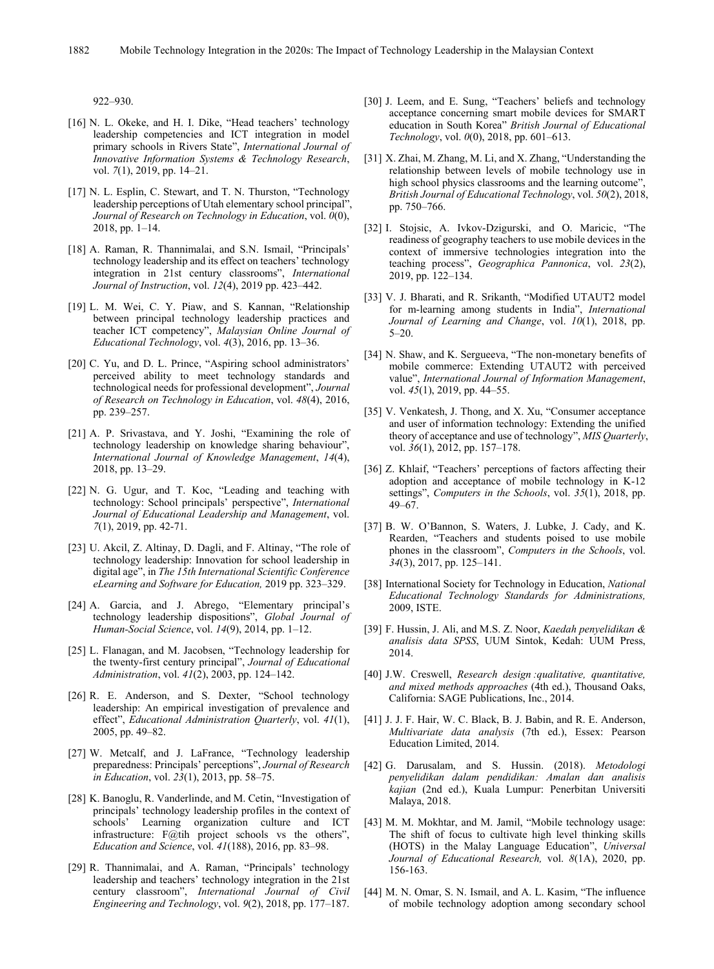922–930.

- [16] N. L. Okeke, and H. I. Dike, "Head teachers' technology leadership competencies and ICT integration in model primary schools in Rivers State", *International Journal of Innovative Information Systems & Technology Research*, vol. *7*(1), 2019, pp. 14–21.
- [17] N. L. Esplin, C. Stewart, and T. N. Thurston, "Technology leadership perceptions of Utah elementary school principal", *Journal of Research on Technology in Education*, vol. *0*(0), 2018, pp. 1–14.
- [18] A. Raman, R. Thannimalai, and S.N. Ismail, "Principals" technology leadership and its effect on teachers' technology integration in 21st century classrooms", *International Journal of Instruction*, vol. *12*(4), 2019 pp. 423–442.
- [19] L. M. Wei, C. Y. Piaw, and S. Kannan, "Relationship between principal technology leadership practices and teacher ICT competency", *Malaysian Online Journal of Educational Technology*, vol. *4*(3), 2016, pp. 13–36.
- [20] C. Yu, and D. L. Prince, "Aspiring school administrators' perceived ability to meet technology standards and technological needs for professional development", *Journal of Research on Technology in Education*, vol. *48*(4), 2016, pp. 239–257.
- [21] A. P. Srivastava, and Y. Joshi, "Examining the role of technology leadership on knowledge sharing behaviour", *International Journal of Knowledge Management*, *14*(4), 2018, pp. 13–29.
- [22] N. G. Ugur, and T. Koc, "Leading and teaching with technology: School principals' perspective", *International Journal of Educational Leadership and Management*, vol. *7*(1), 2019, pp. 42-71.
- [23] U. Akcil, Z. Altinay, D. Dagli, and F. Altinay, "The role of technology leadership: Innovation for school leadership in digital age", in *The 15th International Scientific Conference eLearning and Software for Education,* 2019 pp. 323–329.
- [24] A. Garcia, and J. Abrego, "Elementary principal's technology leadership dispositions", *Global Journal of Human-Social Science*, vol. *14*(9), 2014, pp. 1–12.
- [25] L. Flanagan, and M. Jacobsen, "Technology leadership for the twenty-first century principal", *Journal of Educational Administration*, vol. *41*(2), 2003, pp. 124–142.
- [26] R. E. Anderson, and S. Dexter, "School technology leadership: An empirical investigation of prevalence and effect", *Educational Administration Quarterly*, vol. *41*(1), 2005, pp. 49–82.
- [27] W. Metcalf, and J. LaFrance, "Technology leadership preparedness: Principals' perceptions", *Journal of Research in Education*, vol. *23*(1), 2013, pp. 58–75.
- [28] K. Banoglu, R. Vanderlinde, and M. Cetin, "Investigation of principals' technology leadership profiles in the context of schools' Learning organization culture and ICT infrastructure: F@tih project schools vs the others", *Education and Science*, vol. *41*(188), 2016, pp. 83–98.
- [29] R. Thannimalai, and A. Raman, "Principals' technology leadership and teachers' technology integration in the 21st century classroom", *International Journal of Civil Engineering and Technology*, vol. *9*(2), 2018, pp. 177–187.
- [30] J. Leem, and E. Sung, "Teachers' beliefs and technology acceptance concerning smart mobile devices for SMART education in South Korea" *British Journal of Educational Technology*, vol. *0*(0), 2018, pp. 601–613.
- [31] X. Zhai, M. Zhang, M. Li, and X. Zhang, "Understanding the relationship between levels of mobile technology use in high school physics classrooms and the learning outcome". *British Journal of Educational Technology*, vol. *50*(2), 2018, pp. 750–766.
- [32] I. Stojsic, A. Ivkov-Dzigurski, and O. Maricic, "The readiness of geography teachers to use mobile devices in the context of immersive technologies integration into the teaching process", *Geographica Pannonica*, vol. *23*(2), 2019, pp. 122–134.
- [33] V. J. Bharati, and R. Srikanth, "Modified UTAUT2 model for m-learning among students in India", *International Journal of Learning and Change*, vol. *10*(1), 2018, pp. 5–20.
- [34] N. Shaw, and K. Sergueeva, "The non-monetary benefits of mobile commerce: Extending UTAUT2 with perceived value", *International Journal of Information Management*, vol. *45*(1), 2019, pp. 44–55.
- [35] V. Venkatesh, J. Thong, and X. Xu, "Consumer acceptance and user of information technology: Extending the unified theory of acceptance and use of technology", *MIS Quarterly*, vol. *36*(1), 2012, pp. 157–178.
- [36] Z. Khlaif, "Teachers' perceptions of factors affecting their adoption and acceptance of mobile technology in K-12 settings", *Computers in the Schools*, vol. *35*(1), 2018, pp. 49–67.
- [37] B. W. O'Bannon, S. Waters, J. Lubke, J. Cady, and K. Rearden, "Teachers and students poised to use mobile phones in the classroom", *Computers in the Schools*, vol. *34*(3), 2017, pp. 125–141.
- [38] International Society for Technology in Education, *National Educational Technology Standards for Administrations,*  2009, ISTE.
- [39] F. Hussin, J. Ali, and M.S. Z. Noor, *Kaedah penyelidikan & analisis data SPSS*, UUM Sintok, Kedah: UUM Press, 2014.
- [40] J.W. Creswell, *Research design :qualitative, quantitative, and mixed methods approaches* (4th ed.), Thousand Oaks, California: SAGE Publications, Inc., 2014.
- [41] J. J. F. Hair, W. C. Black, B. J. Babin, and R. E. Anderson, *Multivariate data analysis* (7th ed.), Essex: Pearson Education Limited, 2014.
- [42] G. Darusalam, and S. Hussin. (2018). *Metodologi penyelidikan dalam pendidikan: Amalan dan analisis kajian* (2nd ed.), Kuala Lumpur: Penerbitan Universiti Malaya, 2018.
- [43] M. M. Mokhtar, and M. Jamil, "Mobile technology usage: The shift of focus to cultivate high level thinking skills (HOTS) in the Malay Language Education", *Universal Journal of Educational Research,* vol. *8*(1A), 2020, pp. 156-163.
- [44] M. N. Omar, S. N. Ismail, and A. L. Kasim, "The influence of mobile technology adoption among secondary school